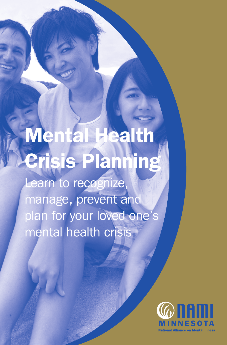# Mental Health Crisis Planning

Learn to recognize, manage, prevent and plan for your loved one's mental health crisis

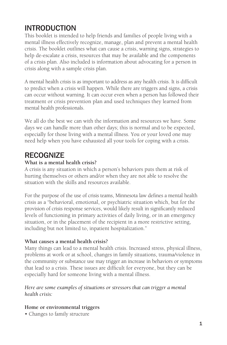# INTRODUCTION

This booklet is intended to help friends and families of people living with a mental illness effectively recognize, manage, plan and prevent a mental health crisis. The booklet outlines what can cause a crisis, warning signs, strategies to help de-escalate a crisis, resources that may be available and the components of a crisis plan. Also included is information about advocating for a person in crisis along with a sample crisis plan.

A mental health crisis is as important to address as any health crisis. It is difficult to predict when a crisis will happen. While there are triggers and signs, a crisis can occur without warning. It can occur even when a person has followed their treatment or crisis prevention plan and used techniques they learned from mental health professionals.

We all do the best we can with the information and resources we have. Some days we can handle more than other days; this is normal and to be expected, especially for those living with a mental illness. You or your loved one may need help when you have exhausted all your tools for coping with a crisis.

# **RECOGNIZE**

# **What is a mental health crisis?**

A crisis is any situation in which a person's behaviors puts them at risk of hurting themselves or others and/or when they are not able to resolve the situation with the skills and resources available.

For the purpose of the use of crisis teams, Minnesota law defines a mental health crisis as a "behavioral, emotional, or psychiatric situation which, but for the provision of crisis response services, would likely result in significantly reduced levels of functioning in primary activities of daily living, or in an emergency situation, or in the placement of the recipient in a more restrictive setting, including but not limited to, inpatient hospitalization."

#### **What causes a mental health crisis?**

Many things can lead to a mental health crisis. Increased stress, physical illness, problems at work or at school, changes in family situations, trauma/violence in the community or substance use may trigger an increase in behaviors or symptoms that lead to a crisis. These issues are difficult for everyone, but they can be especially hard for someone living with a mental illness.

#### *Here are some examples of situations or stressors that can trigger a mental health crisis:*

#### **Home or environmental triggers**

• Changes to family structure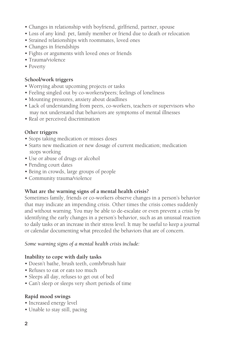- Changes in relationship with boyfriend, girlfriend, partner, spouse
- Loss of any kind: pet, family member or friend due to death or relocation
- Strained relationships with roommates, loved ones
- Changes in friendships
- Fights or arguments with loved ones or friends
- Trauma/violence
- Poverty

# **School/work triggers**

- Worrying about upcoming projects or tasks
- Feeling singled out by co-workers/peers; feelings of loneliness
- Mounting pressures, anxiety about deadlines
- Lack of understanding from peers, co-workers, teachers or supervisors who may not understand that behaviors are symptoms of mental illnesses
- Real or perceived discrimination

# **Other triggers**

- Stops taking medication or misses doses
- Starts new medication or new dosage of current medication; medication stops working
- Use or abuse of drugs or alcohol
- Pending court dates
- Being in crowds, large groups of people
- Community trauma/violence

# **What are the warning signs of a mental health crisis?**

Sometimes family, friends or co-workers observe changes in a person's behavior that may indicate an impending crisis. Other times the crisis comes suddenly and without warning. You may be able to de-escalate or even prevent a crisis by identifying the early changes in a person's behavior, such as an unusual reaction to daily tasks or an increase in their stress level. It may be useful to keep a journal or calendar documenting what preceded the behaviors that are of concern.

# *Some warning signs of a mental health crisis include:*

# **Inability to cope with daily tasks**

- Doesn't bathe, brush teeth, comb/brush hair
- Refuses to eat or eats too much
- Sleeps all day, refuses to get out of bed
- Can't sleep or sleeps very short periods of time

# **Rapid mood swings**

- Increased energy level
- Unable to stay still, pacing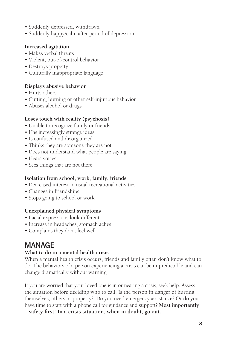- Suddenly depressed, withdrawn
- Suddenly happy/calm after period of depression

#### **Increased agitation**

- Makes verbal threats
- Violent, out-of-control behavior
- Destroys property
- Culturally inappropriate language

#### **Displays abusive behavior**

- Hurts others
- Cutting, burning or other self-injurious behavior
- Abuses alcohol or drugs

#### **Loses touch with reality (psychosis)**

- Unable to recognize family or friends
- Has increasingly strange ideas
- Is confused and disorganized
- Thinks they are someone they are not
- Does not understand what people are saying
- Hears voices
- Sees things that are not there

#### **Isolation from school, work, family, friends**

- Decreased interest in usual recreational activities
- Changes in friendships
- Stops going to school or work

#### **Unexplained physical symptoms**

- Facial expressions look different
- Increase in headaches, stomach aches
- Complains they don't feel well

# MANAGE

# **What to do in a mental health crisis**

When a mental health crisis occurs, friends and family often don't know what to do. The behaviors of a person experiencing a crisis can be unpredictable and can change dramatically without warning.

If you are worried that your loved one is in or nearing a crisis, seek help. Assess the situation before deciding who to call. Is the person in danger of hurting themselves, others or property? Do you need emergency assistance? Or do you have time to start with a phone call for guidance and support? **Most importantly – safety first! In a crisis situation, when in doubt, go out.**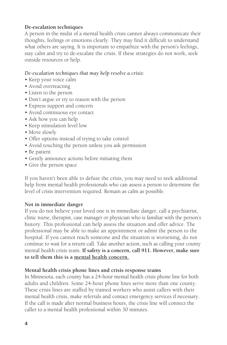#### **De-escalation techniques**

A person in the midst of a mental health crisis cannot always communicate their thoughts, feelings or emotions clearly. They may find it difficult to understand what others are saying. It is important to empathize with the person's feelings, stay calm and try to de-escalate the crisis. If these strategies do not work, seek outside resources or help.

#### *De-escalation techniques that may help resolve a crisis:*

- Keep your voice calm
- Avoid overreacting
- Listen to the person
- Don't argue or try to reason with the person
- Express support and concern
- Avoid continuous eye contact
- Ask how you can help
- Keep stimulation level low
- Move slowly
- Offer options instead of trying to take control
- Avoid touching the person unless you ask permission
- Be patient
- Gently announce actions before initiating them
- Give the person space

If you haven't been able to defuse the crisis, you may need to seek additional help from mental health professionals who can assess a person to determine the level of crisis intervention required. Remain as calm as possible.

#### **Not in immediate danger**

If you do not believe your loved one is in immediate danger, call a psychiatrist, clinic nurse, therapist, case manager or physician who is familiar with the person's history. This professional can help assess the situation and offer advice. The professional may be able to make an appointment or admit the person to the hospital. If you cannot reach someone and the situation is worsening, do not continue to wait for a return call. Take another action, such as calling your county mental health crisis team. **If safety is a concern, call 911. However, make sure to tell them this is a mental health concern.**

#### **Mental health crisis phone lines and crisis response teams**

In Minnesota, each county has a 24-hour mental health crisis phone line for both adults and children. Some 24-hour phone lines serve more than one county. These crisis lines are staffed by trained workers who assist callers with their mental health crisis, make referrals and contact emergency services if necessary. If the call is made after normal business hours, the crisis line will connect the caller to a mental health professional within 30 minutes.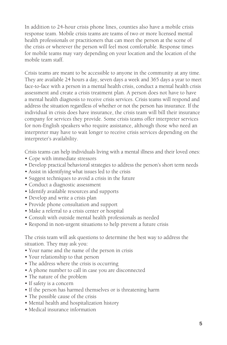In addition to 24-hour crisis phone lines, counties also have a mobile crisis response team. Mobile crisis teams are teams of two or more licensed mental health professionals or practitioners that can meet the person at the scene of the crisis or wherever the person will feel most comfortable. Response times for mobile teams may vary depending on your location and the location of the mobile team staff.

Crisis teams are meant to be accessible to anyone in the community at any time. They are available 24 hours a day, seven days a week and 365 days a year to meet face-to-face with a person in a mental health crisis, conduct a mental health crisis assessment and create a crisis treatment plan. A person does not have to have a mental health diagnosis to receive crisis services. Crisis teams will respond and address the situation regardless of whether or not the person has insurance. If the individual in crisis does have insurance, the crisis team will bill their insurance company for services they provide. Some crisis teams offer interpreter services for non-English speakers who require assistance, although those who need an interpreter may have to wait longer to receive crisis services depending on the interpreter's availability.

Crisis teams can help individuals living with a mental illness and their loved ones:

- Cope with immediate stressors
- Develop practical behavioral strategies to address the person's short term needs
- Assist in identifying what issues led to the crisis
- Suggest techniques to avoid a crisis in the future
- Conduct a diagnostic assessment
- Identify available resources and supports
- Develop and write a crisis plan
- Provide phone consultation and support
- Make a referral to a crisis center or hospital
- Consult with outside mental health professionals as needed
- Respond in non-urgent situations to help prevent a future crisis

The crisis team will ask questions to determine the best way to address the situation. They may ask you:

- Your name and the name of the person in crisis
- Your relationship to that person
- The address where the crisis is occurring
- A phone number to call in case you are disconnected
- The nature of the problem
- If safety is a concern
- If the person has harmed themselves or is threatening harm
- The possible cause of the crisis
- Mental health and hospitalization history
- Medical insurance information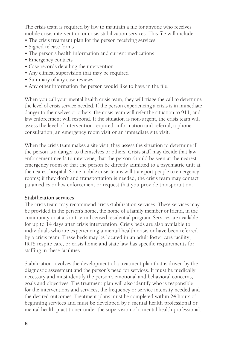The crisis team is required by law to maintain a file for anyone who receives mobile crisis intervention or crisis stabilization services. This file will include:

- The crisis treatment plan for the person receiving services
- Signed release forms
- The person's health information and current medications
- Emergency contacts
- Case records detailing the intervention
- Any clinical supervision that may be required
- Summary of any case reviews
- Any other information the person would like to have in the file.

When you call your mental health crisis team, they will triage the call to determine the level of crisis service needed. If the person experiencing a crisis is in immediate danger to themselves or others, the crisis team will refer the situation to 911, and law enforcement will respond. If the situation is non-urgent, the crisis team will assess the level of intervention required: information and referral, a phone consultation, an emergency room visit or an immediate site visit.

When the crisis team makes a site visit, they assess the situation to determine if the person is a danger to themselves or others. Crisis staff may decide that law enforcement needs to intervene, that the person should be seen at the nearest emergency room or that the person be directly admitted to a psychiatric unit at the nearest hospital. Some mobile crisis teams will transport people to emergency rooms; if they don't and transportation is needed, the crisis team may contact paramedics or law enforcement or request that you provide transportation.

# **Stabilization services**

The crisis team may recommend crisis stabilization services. These services may be provided in the person's home, the home of a family member or friend, in the community or at a short-term licensed residential program. Services are available for up to 14 days after crisis intervention. Crisis beds are also available to individuals who are experiencing a mental health crisis or have been referred by a crisis team. These beds may be located in an adult foster care facility, IRTS respite care, or crisis home and state law has specific requirements for staffing in these facilities.

Stabilization involves the development of a treatment plan that is driven by the diagnostic assessment and the person's need for services. It must be medically necessary and must identify the person's emotional and behavioral concerns, goals and objectives. The treatment plan will also identify who is responsible for the interventions and services, the frequency or service intensity needed and the desired outcomes. Treatment plans must be completed within 24 hours of beginning services and must be developed by a mental health professional or mental health practitioner under the supervision of a mental health professional.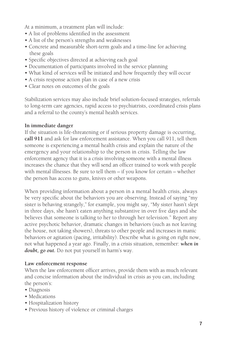At a minimum, a treatment plan will include:

- A list of problems identified in the assessment
- A list of the person's strengths and weaknesses
- Concrete and measurable short-term goals and a time-line for achieving these goals
- Specific objectives directed at achieving each goal
- Documentation of participants involved in the service planning
- What kind of services will be initiated and how frequently they will occur
- A crisis response action plan in case of a new crisis
- Clear notes on outcomes of the goals

Stabilization services may also include brief solution-focused strategies, referrals to long-term care agencies, rapid access to psychiatrists, coordinated crisis plans and a referral to the county's mental health services.

#### **In immediate danger**

If the situation is life-threatening or if serious property damage is occurring, **call 911** and ask for law enforcement assistance. When you call 911, tell them someone is experiencing a mental health crisis and explain the nature of the emergency and your relationship to the person in crisis. Telling the law enforcement agency that it is a crisis involving someone with a mental illness increases the chance that they will send an officer trained to work with people with mental illnesses. Be sure to tell them – if you know for certain – whether the person has access to guns, knives or other weapons.

When providing information about a person in a mental health crisis, always be very specific about the behaviors you are observing. Instead of saying "my sister is behaving strangely," for example, you might say, "My sister hasn't slept in three days, she hasn't eaten anything substantive in over five days and she believes that someone is talking to her to through her television." Report any active psychotic behavior, dramatic changes in behaviors (such as not leaving the house, not taking showers), threats to other people and increases in manic behaviors or agitation (pacing, irritability). Describe what is going on right now, not what happened a year ago. Finally, in a crisis situation, remember: *when in doubt, go out.* Do not put yourself in harm's way.

# **Law enforcement response**

When the law enforcement officer arrives, provide them with as much relevant and concise information about the individual in crisis as you can, including the person's:

- Diagnosis
- Medications
- Hospitalization history
- Previous history of violence or criminal charges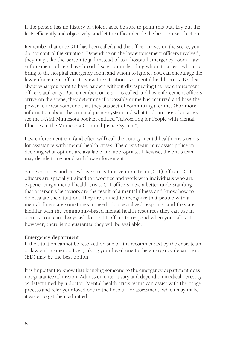If the person has no history of violent acts, be sure to point this out. Lay out the facts efficiently and objectively, and let the officer decide the best course of action.

Remember that once 911 has been called and the officer arrives on the scene, you do not control the situation. Depending on the law enforcement officers involved, they may take the person to jail instead of to a hospital emergency room. Law enforcement officers have broad discretion in deciding whom to arrest, whom to bring to the hospital emergency room and whom to ignore. You can encourage the law enforcement officer to view the situation as a mental health crisis. Be clear about what you want to have happen without disrespecting the law enforcement officer's authority. But remember, once 911 is called and law enforcement officers arrive on the scene, they determine if a possible crime has occurred and have the power to arrest someone that they suspect of committing a crime. (For more information about the criminal justice system and what to do in case of an arrest see the NAMI Minnesota booklet entitled "Advocating for People with Mental Illnesses in the Minnesota Criminal Justice System").

Law enforcement can (and often will) call the county mental health crisis teams for assistance with mental health crises. The crisis team may assist police in deciding what options are available and appropriate. Likewise, the crisis team may decide to respond with law enforcement.

Some counties and cities have Crisis Intervention Team (CIT) officers. CIT officers are specially trained to recognize and work with individuals who are experiencing a mental health crisis. CIT officers have a better understanding that a person's behaviors are the result of a mental illness and know how to de-escalate the situation. They are trained to recognize that people with a mental illness are sometimes in need of a specialized response, and they are familiar with the community-based mental health resources they can use in a crisis. You can always ask for a CIT officer to respond when you call 911, however, there is no guarantee they will be available.

#### **Emergency department**

If the situation cannot be resolved on site or it is recommended by the crisis team or law enforcement officer, taking your loved one to the emergency department (ED) may be the best option.

It is important to know that bringing someone to the emergency department does not guarantee admission. Admission criteria vary and depend on medical necessity as determined by a doctor. Mental health crisis teams can assist with the triage process and refer your loved one to the hospital for assessment, which may make it easier to get them admitted.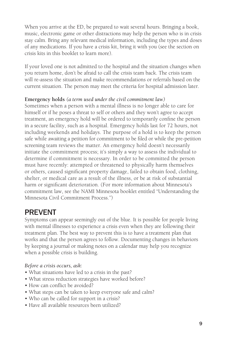When you arrive at the ED, be prepared to wait several hours. Bringing a book, music, electronic game or other distractions may help the person who is in crisis stay calm. Bring any relevant medical information, including the types and doses of any medications. If you have a crisis kit, bring it with you (see the section on crisis kits in this booklet to learn more).

If your loved one is not admitted to the hospital and the situation changes when you return home, don't be afraid to call the crisis team back. The crisis team will re-assess the situation and make recommendations or referrals based on the current situation. The person may meet the criteria for hospital admission later.

#### **Emergency holds** *(a term used under the civil commitment law)*

Sometimes when a person with a mental illness is no longer able to care for himself or if he poses a threat to self or others and they won't agree to accept treatment, an emergency hold will be ordered to temporarily confine the person in a secure facility, such as a hospital. Emergency holds last for 72 hours, not including weekends and holidays. The purpose of a hold is to keep the person safe while awaiting a petition for commitment to be filed or while the pre-petition screening team reviews the matter. An emergency hold doesn't necessarily initiate the commitment process; it's simply a way to assess the individual to determine if commitment is necessary. In order to be committed the person must have recently: attempted or threatened to physically harm themselves or others, caused significant property damage, failed to obtain food, clothing, shelter, or medical care as a result of the illness, or be at risk of substantial harm or significant deterioration. (For more information about Minnesota's commitment law, see the NAMI Minnesota booklet entitled "Understanding the Minnesota Civil Commitment Process.")

# PREVENT

Symptoms can appear seemingly out of the blue. It is possible for people living with mental illnesses to experience a crisis even when they are following their treatment plan. The best way to prevent this is to have a treatment plan that works and that the person agrees to follow. Documenting changes in behaviors by keeping a journal or making notes on a calendar may help you recognize when a possible crisis is building.

# *Before a crisis occurs, ask:*

- What situations have led to a crisis in the past?
- What stress reduction strategies have worked before?
- How can conflict be avoided?
- What steps can be taken to keep everyone safe and calm?
- Who can be called for support in a crisis?
- Have all available resources been utilized?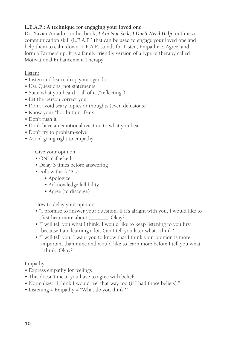# **L.E.A.P.: A technique for engaging your loved one**

Dr. Xavier Amador, in his book, *I Am Not Sick, I Don't Need Help*, outlines a communication skill (L.E.A.P.) that can be used to engage your loved one and help them to calm down. L.E.A.P. stands for Listen, Empathize, Agree, and form a Partnership. It is a family-friendly version of a type of therapy called Motivational Enhancement Therapy.

Listen:

- Listen and learn; drop your agenda
- Use Questions, not statements
- State what you heard—all of it ("reflecting")
- Let the person correct you
- Don't avoid scary topics or thoughts (even delusions)
- Know your "hot-button" fears
- Don't rush it
- Don't have an emotional reaction to what you hear
- Don't try to problem-solve
- Avoid going right to empathy

Give your opinion:

- ONLY if asked
- Delay 3 times before answering
- Follow the 3 "A's":
	- Apologize
	- Acknowledge fallibility
	- Agree (to disagree)

How to delay your opinion:

- "I promise to answer your question. If it's alright with you, I would like to first hear more about \_\_\_\_\_\_\_\_. Okay?"
- "I will tell you what I think. I would like to keep listening to you first because I am learning a lot. Can I tell you later what I think?
- "I will tell you. I want you to know that I think your opinion is more important than mine and would like to learn more before I tell you what I think. Okay?"

Empathy:

- Express empathy for feelings
- This doesn't mean you have to agree with beliefs
- Normalize: "I think I would feel that way too (if I had those beliefs)."
- Listening + Empathy = "What do you think?"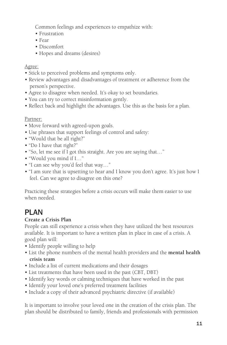Common feelings and experiences to empathize with:

- Frustration
- Fear
- Discomfort
- Hopes and dreams (desires)

# Agree:

- Stick to perceived problems and symptoms only.
- Review advantages and disadvantages of treatment or adherence from the person's perspective.
- Agree to disagree when needed. It's okay to set boundaries.
- You can try to correct misinformation gently.
- Reflect back and highlight the advantages. Use this as the basis for a plan.

# Partner:

- Move forward with agreed-upon goals.
- Use phrases that support feelings of control and safety:
- "Would that be all right?"
- "Do I have that right?"
- "So, let me see if I got this straight. Are you are saying that…"
- "Would you mind if I…"
- "I can see why you'd feel that way…"
- "I am sure that is upsetting to hear and I know you don't agree. It's just how I feel. Can we agree to disagree on this one?

Practicing these strategies before a crisis occurs will make them easier to use when needed.

# PLAN

# **Create a Crisis Plan**

People can still experience a crisis when they have utilized the best resources available. It is important to have a written plan in place in case of a crisis. A good plan will:

- Identify people willing to help
- List the phone numbers of the mental health providers and the **mental health crisis team**
- Include a list of current medications and their dosages
- List treatments that have been used in the past (CBT, DBT)
- Identify key words or calming techniques that have worked in the past
- Identify your loved one's preferred treatment facilities
- Include a copy of their advanced psychiatric directive (if available)

It is important to involve your loved one in the creation of the crisis plan. The plan should be distributed to family, friends and professionals with permission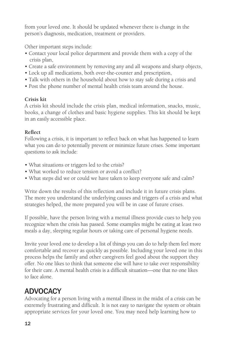from your loved one. It should be updated whenever there is change in the person's diagnosis, medication, treatment or providers.

Other important steps include:

- Contact your local police department and provide them with a copy of the crisis plan,
- Create a safe environment by removing any and all weapons and sharp objects,
- Lock up all medications, both over-the-counter and prescription,
- Talk with others in the household about how to stay safe during a crisis and
- Post the phone number of mental health crisis team around the house.

# **Crisis kit**

A crisis kit should include the crisis plan, medical information, snacks, music, books, a change of clothes and basic hygiene supplies. This kit should be kept in an easily accessible place.

# **Reflect**

Following a crisis, it is important to reflect back on what has happened to learn what you can do to potentially prevent or minimize future crises. Some important questions to ask include:

- What situations or triggers led to the crisis?
- What worked to reduce tension or avoid a conflict?
- What steps did we or could we have taken to keep everyone safe and calm?

Write down the results of this reflection and include it in future crisis plans. The more you understand the underlying causes and triggers of a crisis and what strategies helped, the more prepared you will be in case of future crises.

If possible, have the person living with a mental illness provide cues to help you recognize when the crisis has passed. Some examples might be eating at least two meals a day, sleeping regular hours or taking care of personal hygiene needs.

Invite your loved one to develop a list of things you can do to help them feel more comfortable and recover as quickly as possible. Including your loved one in this process helps the family and other caregivers feel good about the support they offer. No one likes to think that someone else will have to take over responsibility for their care. A mental health crisis is a difficult situation—one that no one likes to face alone.

# ADVOCACY

Advocating for a person living with a mental illness in the midst of a crisis can be extremely frustrating and difficult. It is not easy to navigate the system or obtain appropriate services for your loved one. You may need help learning how to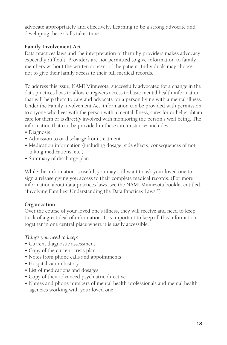advocate appropriately and effectively. Learning to be a strong advocate and developing these skills takes time.

# **Family Involvement Act**

Data practices laws and the interpretation of them by providers makes advocacy especially difficult. Providers are not permitted to give information to family members without the written consent of the patient. Individuals may choose not to give their family access to their full medical records.

To address this issue, NAMI Minnesota successfully advocated for a change in the data practices laws to allow caregivers access to basic mental health information that will help them to care and advocate for a person living with a mental illness. Under the Family Involvement Act, information can be provided with permission to anyone who lives with the person with a mental illness, cares for or helps obtain care for them or is *directly* involved with monitoring the person's well being. The information that can be provided in these circumstances includes:

- Diagnosis
- Admission to or discharge from treatment
- Medication information (including dosage, side effects, consequences of not taking medications, etc.)
- Summary of discharge plan

While this information is useful, you may still want to ask your loved one to sign a release giving you access to their complete medical records. (For more information about data practices laws, see the NAMI Minnesota booklet entitled, "Involving Families: Understanding the Data Practices Laws.")

# **Organization**

Over the course of your loved one's illness, they will receive and need to keep track of a great deal of information. It is important to keep all this information together in one central place where it is easily accessible.

# *Things you need to keep:*

- Current diagnostic assessment
- Copy of the current crisis plan
- Notes from phone calls and appointments
- Hospitalization history
- List of medications and dosages
- Copy of their advanced psychiatric directive
- Names and phone numbers of mental health professionals and mental health agencies working with your loved one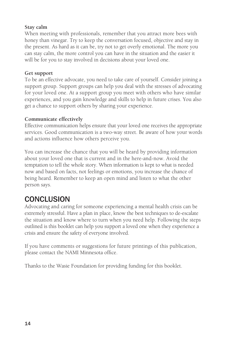#### **Stay calm**

When meeting with professionals, remember that you attract more bees with honey than vinegar. Try to keep the conversation focused, objective and stay in the present. As hard as it can be, try not to get overly emotional. The more you can stay calm, the more control you can have in the situation and the easier it will be for you to stay involved in decisions about your loved one.

#### **Get support**

To be an effective advocate, you need to take care of yourself. Consider joining a support group. Support groups can help you deal with the stresses of advocating for your loved one. At a support group you meet with others who have similar experiences, and you gain knowledge and skills to help in future crises. You also get a chance to support others by sharing your experience.

#### **Communicate effectively**

Effective communication helps ensure that your loved one receives the appropriate services. Good communication is a two-way street. Be aware of how your words and actions influence how others perceive you.

You can increase the chance that you will be heard by providing information about your loved one that is current and in the here-and-now. Avoid the temptation to tell the whole story. When information is kept to what is needed now and based on facts, not feelings or emotions, you increase the chance of being heard. Remember to keep an open mind and listen to what the other person says.

# **CONCLUSION**

Advocating and caring for someone experiencing a mental health crisis can be extremely stressful. Have a plan in place, know the best techniques to de-escalate the situation and know where to turn when you need help. Following the steps outlined is this booklet can help you support a loved one when they experience a crisis and ensure the safety of everyone involved.

If you have comments or suggestions for future printings of this publication, please contact the NAMI Minnesota office.

Thanks to the Wasie Foundation for providing funding for this booklet.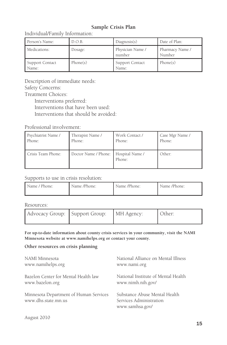#### **Sample Crisis Plan**

Individual/Family Information:

| Person's Name:           | D.O.B.   | Diagonosis(s)              | Date of Plan:             |
|--------------------------|----------|----------------------------|---------------------------|
| Medications:             | Dosage:  | Physician Name /<br>number | Pharmacy Name /<br>Number |
| Support Contact<br>Name: | Phone(s) | Support Contact<br>Name:   | Phone(s)                  |

Description of immediate needs: Safety Concerns: Treatment Choices:

Interventions preferred: Interventions that have been used: Interventions that should be avoided:

Professional involvement:

| Psychiatrist Name / | Therapist Name /                       | Work Contact / | Case Mgr Name / |
|---------------------|----------------------------------------|----------------|-----------------|
| Phone:              | Phone:                                 | Phone:         | Phone:          |
| Crisis Team Phone:  | Doctor Name / Phone:   Hospital Name / | Phone:         | Other:          |

#### Supports to use in crisis resolution:

| Name / Phone: | Name /Phone: | Name /Phone: | Name /Phone: |
|---------------|--------------|--------------|--------------|
|               |              |              |              |

Resources:

| Advocacy Group:   Support Group:   MH Agency: |  | Other: |
|-----------------------------------------------|--|--------|
|                                               |  |        |

**For up-to-date information about county crisis services in your community, visit the NAMI Minnesota website at www.namihelps.org or contact your county.**

#### **Other resources on crisis planning**

| NAMI Minnesota                                                | National Alliance on Mental Illness                                         |
|---------------------------------------------------------------|-----------------------------------------------------------------------------|
| www.namihelps.org                                             | www.nami.org                                                                |
| Bazelon Center for Mental Health law                          | National Institute of Mental Health                                         |
| www.bazelon.org                                               | www.nimh.nih.gov/                                                           |
| Minnesota Department of Human Services<br>www.dhs.state.mn.us | Substance Abuse Mental Health<br>Services Administration<br>www.samhsa.gov/ |